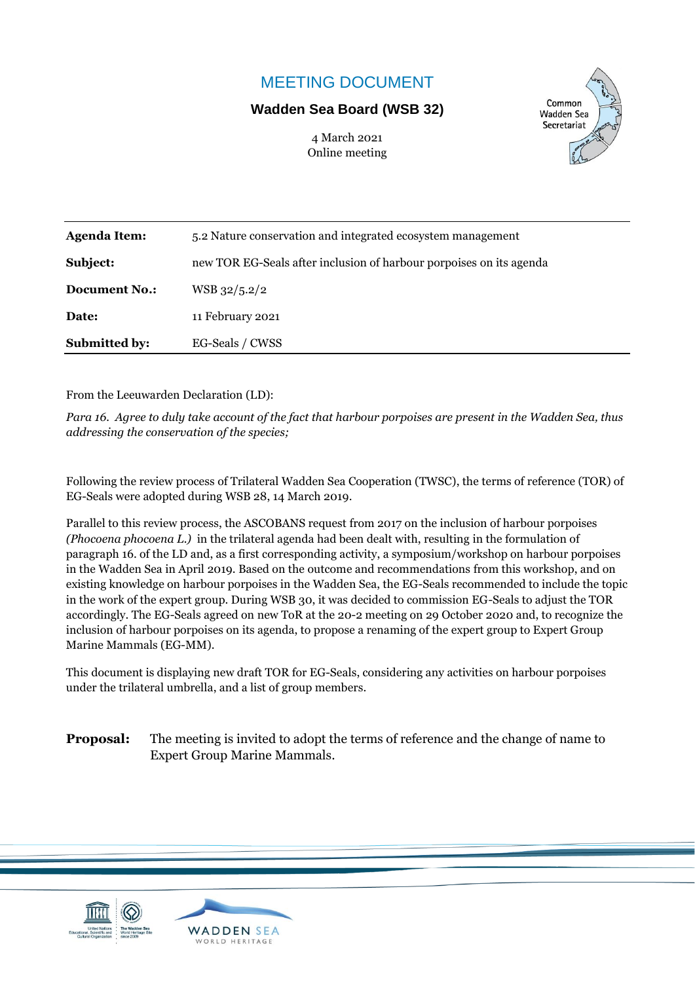## MEETING DOCUMENT

## **Wadden Sea Board (WSB 32)**

4 March 2021 Online meeting



| <b>Agenda Item:</b>  | 5.2 Nature conservation and integrated ecosystem management         |  |
|----------------------|---------------------------------------------------------------------|--|
| Subject:             | new TOR EG-Seals after inclusion of harbour porpoises on its agenda |  |
| <b>Document No.:</b> | WSB 32/5.2/2                                                        |  |
| Date:                | 11 February 2021                                                    |  |
| <b>Submitted by:</b> | EG-Seals / CWSS                                                     |  |

From the Leeuwarden Declaration (LD):

*Para 16. Agree to duly take account of the fact that harbour porpoises are present in the Wadden Sea, thus addressing the conservation of the species;*

Following the review process of Trilateral Wadden Sea Cooperation (TWSC), the terms of reference (TOR) of EG-Seals were adopted during WSB 28, 14 March 2019.

Parallel to this review process, the ASCOBANS request from 2017 on the inclusion of harbour porpoises *(Phocoena phocoena L.)* in the trilateral agenda had been dealt with, resulting in the formulation of paragraph 16. of the LD and, as a first corresponding activity, a symposium/workshop on harbour porpoises in the Wadden Sea in April 2019. Based on the outcome and recommendations from this workshop, and on existing knowledge on harbour porpoises in the Wadden Sea, the EG-Seals recommended to include the topic in the work of the expert group. During WSB 30, it was decided to commission EG-Seals to adjust the TOR accordingly. The EG-Seals agreed on new ToR at the 20-2 meeting on 29 October 2020 and, to recognize the inclusion of harbour porpoises on its agenda, to propose a renaming of the expert group to Expert Group Marine Mammals (EG-MM).

This document is displaying new draft TOR for EG-Seals, considering any activities on harbour porpoises under the trilateral umbrella, and a list of group members.

**Proposal:** The meeting is invited to adopt the terms of reference and the change of name to Expert Group Marine Mammals.



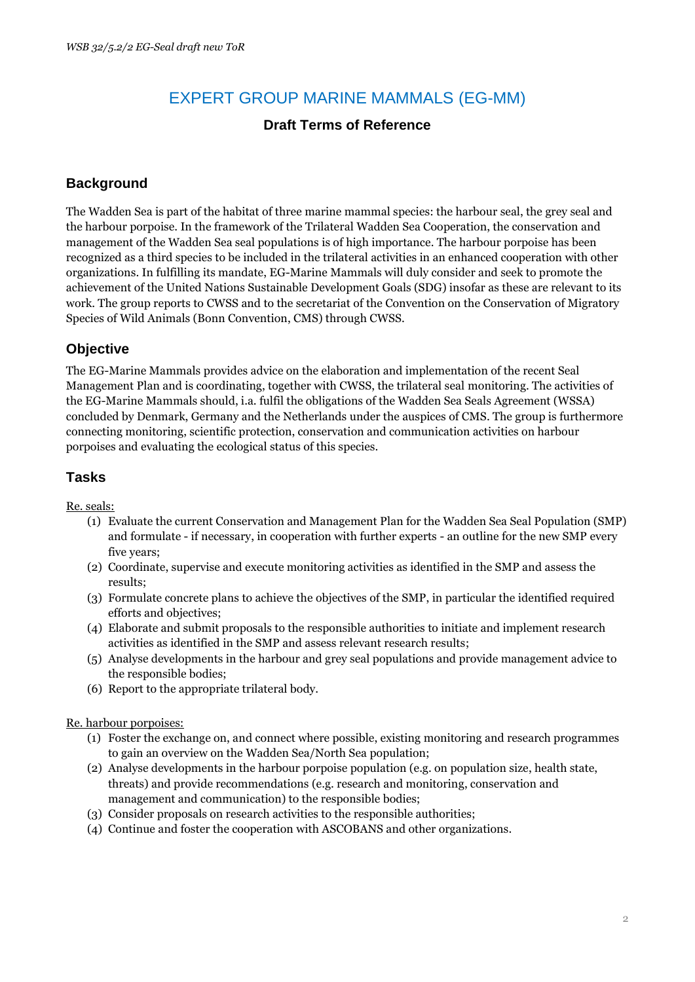# EXPERT GROUP MARINE MAMMALS (EG-MM)

### **Draft Terms of Reference**

#### **Background**

The Wadden Sea is part of the habitat of three marine mammal species: the harbour seal, the grey seal and the harbour porpoise. In the framework of the Trilateral Wadden Sea Cooperation, the conservation and management of the Wadden Sea seal populations is of high importance. The harbour porpoise has been recognized as a third species to be included in the trilateral activities in an enhanced cooperation with other organizations. In fulfilling its mandate, EG-Marine Mammals will duly consider and seek to promote the achievement of the United Nations Sustainable Development Goals (SDG) insofar as these are relevant to its work. The group reports to CWSS and to the secretariat of the Convention on the Conservation of Migratory Species of Wild Animals (Bonn Convention, CMS) through CWSS.

#### **Objective**

The EG-Marine Mammals provides advice on the elaboration and implementation of the recent Seal Management Plan and is coordinating, together with CWSS, the trilateral seal monitoring. The activities of the EG-Marine Mammals should, i.a. fulfil the obligations of the Wadden Sea Seals Agreement (WSSA) concluded by Denmark, Germany and the Netherlands under the auspices of CMS. The group is furthermore connecting monitoring, scientific protection, conservation and communication activities on harbour porpoises and evaluating the ecological status of this species.

### **Tasks**

Re. seals:

- (1) Evaluate the current Conservation and Management Plan for the Wadden Sea Seal Population (SMP) and formulate - if necessary, in cooperation with further experts - an outline for the new SMP every five years;
- (2) Coordinate, supervise and execute monitoring activities as identified in the SMP and assess the results;
- (3) Formulate concrete plans to achieve the objectives of the SMP, in particular the identified required efforts and objectives;
- (4) Elaborate and submit proposals to the responsible authorities to initiate and implement research activities as identified in the SMP and assess relevant research results;
- (5) Analyse developments in the harbour and grey seal populations and provide management advice to the responsible bodies;
- (6) Report to the appropriate trilateral body.

Re. harbour porpoises:

- (1) Foster the exchange on, and connect where possible, existing monitoring and research programmes to gain an overview on the Wadden Sea/North Sea population;
- (2) Analyse developments in the harbour porpoise population (e.g. on population size, health state, threats) and provide recommendations (e.g. research and monitoring, conservation and management and communication) to the responsible bodies;
- (3) Consider proposals on research activities to the responsible authorities;
- (4) Continue and foster the cooperation with ASCOBANS and other organizations.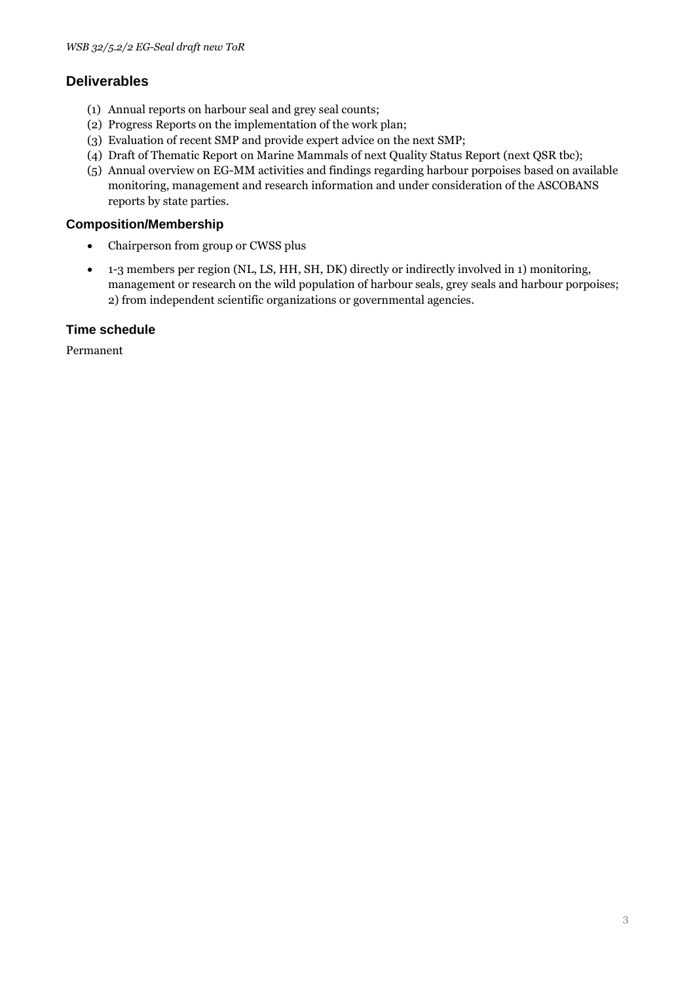### **Deliverables**

- (1) Annual reports on harbour seal and grey seal counts;
- (2) Progress Reports on the implementation of the work plan;
- (3) Evaluation of recent SMP and provide expert advice on the next SMP;
- (4) Draft of Thematic Report on Marine Mammals of next Quality Status Report (next QSR tbc);
- (5) Annual overview on EG-MM activities and findings regarding harbour porpoises based on available monitoring, management and research information and under consideration of the ASCOBANS reports by state parties.

#### **Composition/Membership**

- Chairperson from group or CWSS plus
- 1-3 members per region (NL, LS, HH, SH, DK) directly or indirectly involved in 1) monitoring, management or research on the wild population of harbour seals, grey seals and harbour porpoises; 2) from independent scientific organizations or governmental agencies.

#### **Time schedule**

Permanent